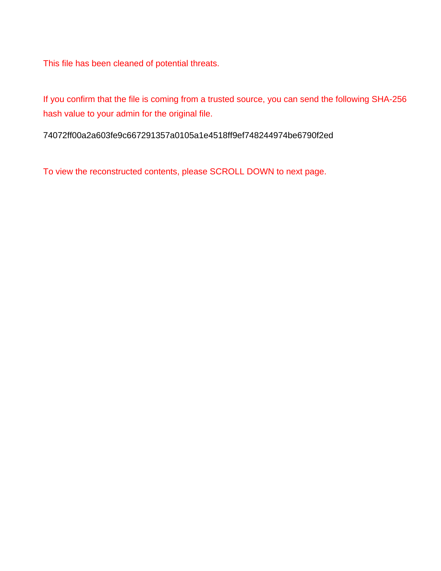This file has been cleaned of potential threats.

If you confirm that the file is coming from a trusted source, you can send the following SHA-256 hash value to your admin for the original file.

74072ff00a2a603fe9c667291357a0105a1e4518ff9ef748244974be6790f2ed

To view the reconstructed contents, please SCROLL DOWN to next page.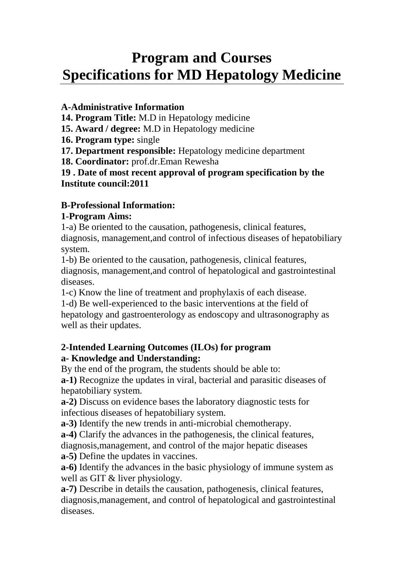# **Program and Courses Specifications for MD Hepatology Medicine**

## **A-Administrative Information**

**14. Program Title:** M.D in Hepatology medicine

**15. Award / degree:** M.D in Hepatology medicine

**16. Program type:** single

**17. Department responsible:** Hepatology medicine department

**18. Coordinator:** prof.dr.Eman Rewesha

**19 . Date of most recent approval of program specification by the Institute council:2011**

## **B-Professional Information:**

## **1-Program Aims:**

1-a) Be oriented to the causation, pathogenesis, clinical features, diagnosis, management,and control of infectious diseases of hepatobiliary system.

1-b) Be oriented to the causation, pathogenesis, clinical features, diagnosis, management,and control of hepatological and gastrointestinal diseases.

1-c) Know the line of treatment and prophylaxis of each disease.

1-d) Be well-experienced to the basic interventions at the field of hepatology and gastroenterology as endoscopy and ultrasonography as well as their updates.

## **2-Intended Learning Outcomes (ILOs) for program a- Knowledge and Understanding:**

By the end of the program, the students should be able to:

**a-1)** Recognize the updates in viral, bacterial and parasitic diseases of hepatobiliary system.

**a-2)** Discuss on evidence bases the laboratory diagnostic tests for infectious diseases of hepatobiliary system.

**a-3)** Identify the new trends in anti-microbial chemotherapy.

**a-4)** Clarify the advances in the pathogenesis, the clinical features, diagnosis,management, and control of the major hepatic diseases

**a-5)** Define the updates in vaccines.

**a-6)** Identify the advances in the basic physiology of immune system as well as GIT & liver physiology.

**a-7)** Describe in details the causation, pathogenesis, clinical features, diagnosis,management, and control of hepatological and gastrointestinal diseases.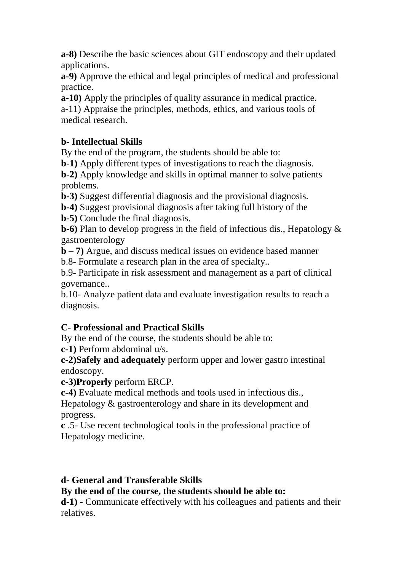**a-8)** Describe the basic sciences about GIT endoscopy and their updated applications.

**a-9)** Approve the ethical and legal principles of medical and professional practice.

**a-10)** Apply the principles of quality assurance in medical practice. a-11) Appraise the principles, methods, ethics, and various tools of medical research.

## **b- Intellectual Skills**

By the end of the program, the students should be able to:

**b-1)** Apply different types of investigations to reach the diagnosis.

**b-2)** Apply knowledge and skills in optimal manner to solve patients problems.

**b-3)** Suggest differential diagnosis and the provisional diagnosis.

**b-4)** Suggest provisional diagnosis after taking full history of the

**b-5)** Conclude the final diagnosis.

**b-6)** Plan to develop progress in the field of infectious dis., Hepatology & gastroenterology

**b – 7)** Argue, and discuss medical issues on evidence based manner

b.8- Formulate a research plan in the area of specialty..

b.9- Participate in risk assessment and management as a part of clinical governance..

b.10- Analyze patient data and evaluate investigation results to reach a diagnosis.

# **C- Professional and Practical Skills**

By the end of the course, the students should be able to:

**c-1)** Perform abdominal u/s.

**c-2)Safely and adequately** perform upper and lower gastro intestinal endoscopy.

**c-3)Properly** perform ERCP.

**c-4)** Evaluate medical methods and tools used in infectious dis.,

Hepatology & gastroenterology and share in its development and progress.

**c** .5- Use recent technological tools in the professional practice of Hepatology medicine.

## **d- General and Transferable Skills**

**By the end of the course, the students should be able to:**

**d-1) -** Communicate effectively with his colleagues and patients and their relatives.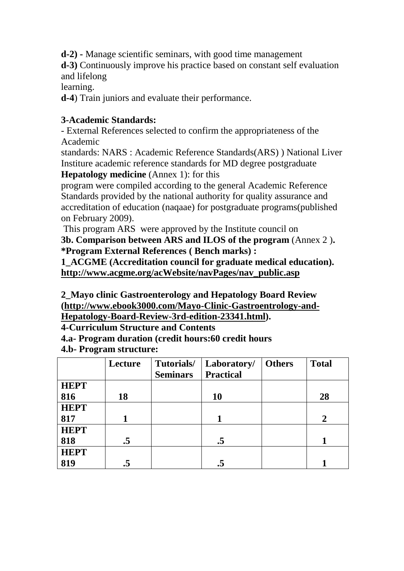**d-2) -** Manage scientific seminars, with good time management

**d-3)** Continuously improve his practice based on constant self evaluation and lifelong

learning.

**d-4**) Train juniors and evaluate their performance.

### **3-Academic Standards:**

- External References selected to confirm the appropriateness of the Academic

standards: NARS : Academic Reference Standards(ARS) ) National Liver Institure academic reference standards for MD degree postgraduate

**Hepatology medicine** (Annex 1): for this

program were compiled according to the general Academic Reference Standards provided by the national authority for quality assurance and accreditation of education (naqaae) for postgraduate programs(published on February 2009).

This program ARS were approved by the Institute council on **3b. Comparison between ARS and ILOS of the program** (Annex 2 )**. \*Program External References ( Bench marks) :**

**1\_ACGME (Accreditation council for graduate medical education). http://www.acgme.org/acWebsite/navPages/nav\_public.asp**

**2\_Mayo clinic Gastroenterology and Hepatology Board Review (http://www.ebook3000.com/Mayo-Clinic-Gastroentrology-and-Hepatology-Board-Review-3rd-edition-23341.html).**

**4-Curriculum Structure and Contents**

**4.a- Program duration (credit hours:60 credit hours**

**4.b- Program structure:**

|             | Lecture   | Tutorials/      | Laboratory/      | <b>Others</b> | <b>Total</b>   |
|-------------|-----------|-----------------|------------------|---------------|----------------|
|             |           | <b>Seminars</b> | <b>Practical</b> |               |                |
| <b>HEPT</b> |           |                 |                  |               |                |
| 816         | 18        |                 | <b>10</b>        |               | 28             |
| <b>HEPT</b> |           |                 |                  |               |                |
| 817         |           |                 |                  |               | $\overline{2}$ |
| <b>HEPT</b> |           |                 |                  |               |                |
| 818         | $\cdot$ 5 |                 | .5               |               |                |
| <b>HEPT</b> |           |                 |                  |               |                |
| 819         |           |                 |                  |               |                |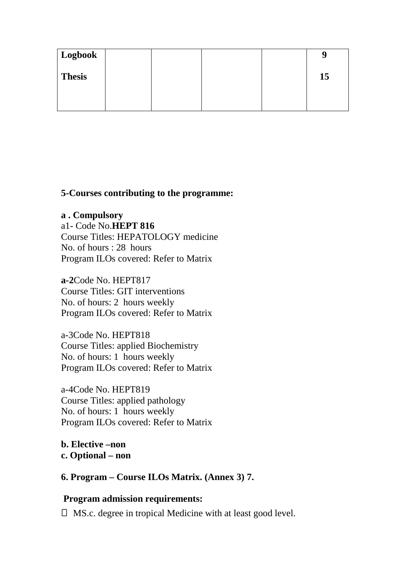| Logbook       |  |  |    |
|---------------|--|--|----|
| <b>Thesis</b> |  |  | 15 |
|               |  |  |    |

#### **5-Courses contributing to the programme:**

#### **a . Compulsory**

a1- Code No.**HEPT 816** Course Titles: HEPATOLOGY medicine No. of hours : 28 hours Program ILOs covered: Refer to Matrix

**a-2**Code No. HEPT817 Course Titles: GIT interventions No. of hours: 2 hours weekly Program ILOs covered: Refer to Matrix

a-3Code No. HEPT818 Course Titles: applied Biochemistry No. of hours: 1 hours weekly Program ILOs covered: Refer to Matrix

a-4Code No. HEPT819 Course Titles: applied pathology No. of hours: 1 hours weekly Program ILOs covered: Refer to Matrix

**b. Elective –non c. Optional – non**

**6. Program – Course ILOs Matrix. (Annex 3) 7.**

#### **Program admission requirements:**

 $\Box$  MS.c. degree in tropical Medicine with at least good level.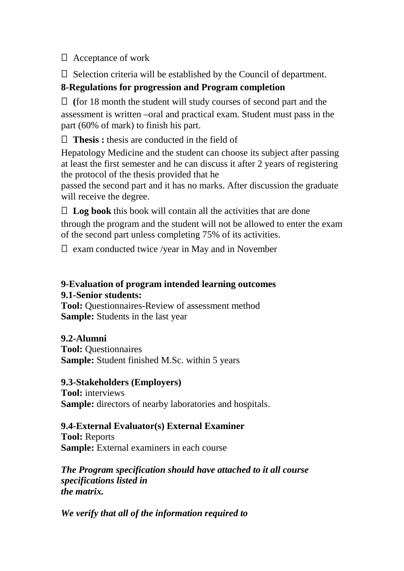Acceptance of work

 $\Box$  Selection criteria will be established by the Council of department.

## **8-Regulations for progression and Program completion**

 **(**for 18 month the student will study courses of second part and the assessment is written –oral and practical exam. Student must pass in the part (60% of mark) to finish his part.

**Thesis :** thesis are conducted in the field of

Hepatology Medicine and the student can choose its subject after passing at least the first semester and he can discuss it after 2 years of registering the protocol of the thesis provided that he

passed the second part and it has no marks. After discussion the graduate will receive the degree.

 $\Box$  **Log book** this book will contain all the activities that are done through the program and the student will not be allowed to enter the exam of the second part unless completing 75% of its activities.

 $\Box$  exam conducted twice /year in May and in November

## **9-Evaluation of program intended learning outcomes 9.1-Senior students:**

**Tool:** Ouestionnaires-Review of assessment method **Sample:** Students in the last year

## **9.2-Alumni**

**Tool:** Questionnaires **Sample:** Student finished M.Sc. within 5 years

## **9.3-Stakeholders (Employers)**

**Tool:** interviews **Sample:** directors of nearby laboratories and hospitals.

## **9.4-External Evaluator(s) External Examiner**

**Tool:** Reports **Sample:** External examiners in each course

*The Program specification should have attached to it all course specifications listed in the matrix.*

*We verify that all of the information required to*